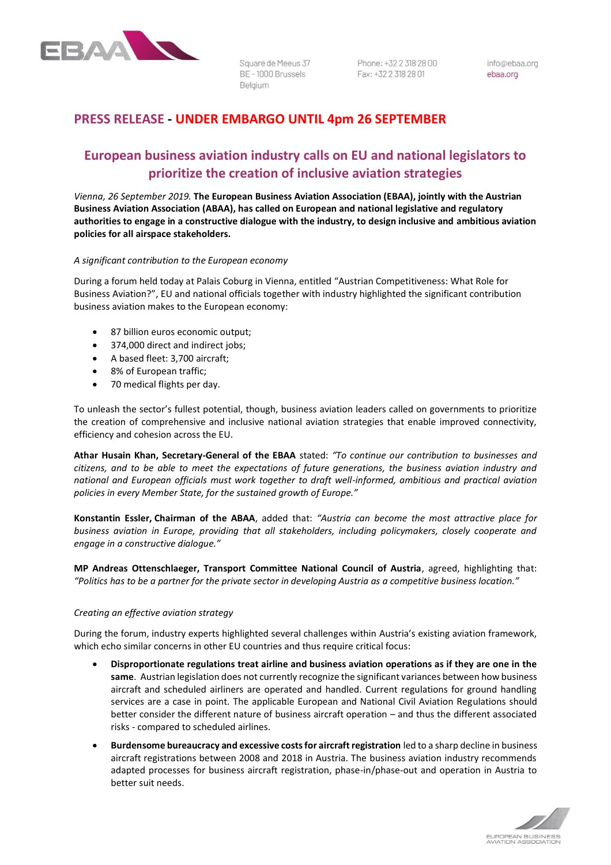

Square de Meeus 37 BE-1000 Brussels Belaium

Phone: +32 2 318 28 00 Fax: +32 2 318 28 01

info@ebaa.org ebaa.org

## **PRESS RELEASE - UNDER EMBARGO UNTIL 4pm 26 SEPTEMBER**

# **European business aviation industry calls on EU and national legislators to prioritize the creation of inclusive aviation strategies**

*Vienna, 26 September 2019.* **The European Business Aviation Association (EBAA), jointly with the Austrian Business Aviation Association (ABAA), has called on European and national legislative and regulatory authorities to engage in a constructive dialogue with the industry, to design inclusive and ambitious aviation policies for all airspace stakeholders.**

### *A significant contribution to the European economy*

During a forum held today at Palais Coburg in Vienna, entitled "Austrian Competitiveness: What Role for Business Aviation?", EU and national officials together with industry highlighted the significant contribution business aviation makes to the European economy:

- 87 billion euros economic output;
- 374,000 direct and indirect jobs;
- A based fleet: 3,700 aircraft;
- 8% of European traffic;
- 70 medical flights per day.

To unleash the sector's fullest potential, though, business aviation leaders called on governments to prioritize the creation of comprehensive and inclusive national aviation strategies that enable improved connectivity, efficiency and cohesion across the EU.

**Athar Husain Khan, Secretary-General of the EBAA** stated: *"To continue our contribution to businesses and citizens, and to be able to meet the expectations of future generations, the business aviation industry and national and European officials must work together to draft well-informed, ambitious and practical aviation policies in every Member State, for the sustained growth of Europe."*

**Konstantin Essler, Chairman of the ABAA**, added that: *"Austria can become the most attractive place for business aviation in Europe, providing that all stakeholders, including policymakers, closely cooperate and engage in a constructive dialogue."*

**MP Andreas Ottenschlaeger, Transport Committee National Council of Austria**, agreed, highlighting that: *"Politics has to be a partner for the private sector in developing Austria as a competitive business location."*

### *Creating an effective aviation strategy*

During the forum, industry experts highlighted several challenges within Austria's existing aviation framework, which echo similar concerns in other EU countries and thus require critical focus:

- **Disproportionate regulations treat airline and business aviation operations as if they are one in the same**. Austrian legislation does not currently recognize the significant variances between how business aircraft and scheduled airliners are operated and handled. Current regulations for ground handling services are a case in point. The applicable European and National Civil Aviation Regulations should better consider the different nature of business aircraft operation – and thus the different associated risks - compared to scheduled airlines.
- **Burdensome bureaucracy and excessive costs for aircraft registration** led to a sharp decline in business aircraft registrations between 2008 and 2018 in Austria. The business aviation industry recommends adapted processes for business aircraft registration, phase-in/phase-out and operation in Austria to better suit needs.